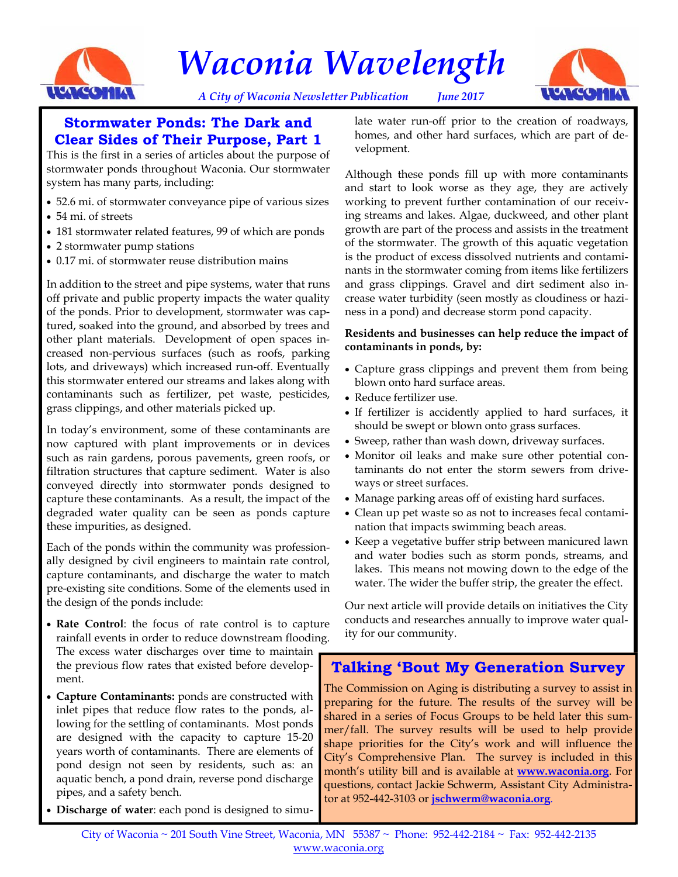

*Waconia Wavelength* 





### **Stormwater Ponds: The Dark and Clear Sides of Their Purpose, Part 1**

This is the first in a series of articles about the purpose of stormwater ponds throughout Waconia. Our stormwater system has many parts, including:

- 52.6 mi. of stormwater conveyance pipe of various sizes
- 54 mi. of streets
- 181 stormwater related features, 99 of which are ponds
- 2 stormwater pump stations
- 0.17 mi. of stormwater reuse distribution mains

In addition to the street and pipe systems, water that runs off private and public property impacts the water quality of the ponds. Prior to development, stormwater was captured, soaked into the ground, and absorbed by trees and other plant materials. Development of open spaces increased non-pervious surfaces (such as roofs, parking lots, and driveways) which increased run-off. Eventually this stormwater entered our streams and lakes along with contaminants such as fertilizer, pet waste, pesticides, grass clippings, and other materials picked up.

In today's environment, some of these contaminants are now captured with plant improvements or in devices such as rain gardens, porous pavements, green roofs, or filtration structures that capture sediment. Water is also conveyed directly into stormwater ponds designed to capture these contaminants. As a result, the impact of the degraded water quality can be seen as ponds capture these impurities, as designed.

Each of the ponds within the community was professionally designed by civil engineers to maintain rate control, capture contaminants, and discharge the water to match pre-existing site conditions. Some of the elements used in the design of the ponds include:

- **Rate Control**: the focus of rate control is to capture rainfall events in order to reduce downstream flooding. The excess water discharges over time to maintain the previous flow rates that existed before development.
- **Capture Contaminants:** ponds are constructed with inlet pipes that reduce flow rates to the ponds, allowing for the settling of contaminants. Most ponds are designed with the capacity to capture 15-20 years worth of contaminants. There are elements of pond design not seen by residents, such as: an aquatic bench, a pond drain, reverse pond discharge pipes, and a safety bench.
- **Discharge of water**: each pond is designed to simu-

late water run-off prior to the creation of roadways, homes, and other hard surfaces, which are part of development.

Although these ponds fill up with more contaminants and start to look worse as they age, they are actively working to prevent further contamination of our receiving streams and lakes. Algae, duckweed, and other plant growth are part of the process and assists in the treatment of the stormwater. The growth of this aquatic vegetation is the product of excess dissolved nutrients and contaminants in the stormwater coming from items like fertilizers and grass clippings. Gravel and dirt sediment also increase water turbidity (seen mostly as cloudiness or haziness in a pond) and decrease storm pond capacity.

#### **Residents and businesses can help reduce the impact of contaminants in ponds, by:**

- Capture grass clippings and prevent them from being blown onto hard surface areas.
- Reduce fertilizer use.
- If fertilizer is accidently applied to hard surfaces, it should be swept or blown onto grass surfaces.
- Sweep, rather than wash down, driveway surfaces.
- Monitor oil leaks and make sure other potential contaminants do not enter the storm sewers from driveways or street surfaces.
- Manage parking areas off of existing hard surfaces.
- Clean up pet waste so as not to increases fecal contamination that impacts swimming beach areas.
- Keep a vegetative buffer strip between manicured lawn and water bodies such as storm ponds, streams, and lakes. This means not mowing down to the edge of the water. The wider the buffer strip, the greater the effect.

Our next article will provide details on initiatives the City conducts and researches annually to improve water quality for our community.

# **Talking 'Bout My Generation Survey**

The Commission on Aging is distributing a survey to assist in preparing for the future. The results of the survey will be shared in a series of Focus Groups to be held later this summer/fall. The survey results will be used to help provide shape priorities for the City's work and will influence the City's Comprehensive Plan. The survey is included in this month's utility bill and is available at **www.waconia.org**. For questions, contact Jackie Schwerm, Assistant City Administrator at 952-442-3103 or **jschwerm@waconia.org**.